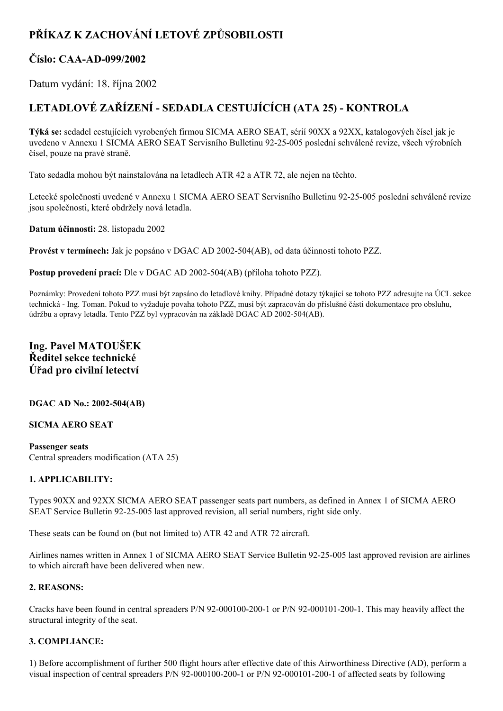# **PŘÍKAZ K ZACHOVÁNÍ LETOVÉ ZPŮSOBILOSTI**

## **Číslo: CAAAD099/2002**

Datum vydání: 18. října 2002

# **LETADLOVÉ ZAŘÍZENÍ SEDADLA CESTUJÍCÍCH (ATA 25) KONTROLA**

**Týká se:** sedadel cestujících vyrobených firmou SICMA AERO SEAT, sérií 90XX a 92XX, katalogových čísel jak je uvedeno v Annexu 1 SICMA AERO SEAT Servisního Bulletinu 9225005 poslední schválené revize, všech výrobních čísel, pouze na pravé straně.

Tato sedadla mohou být nainstalována na letadlech ATR 42 a ATR 72, ale nejen na těchto.

Letecké společnosti uvedené v Annexu 1 SICMA AERO SEAT Servisního Bulletinu 92-25-005 poslední schválené revize jsou společnosti, které obdržely nová letadla.

**Datum účinnosti:** 28. listopadu 2002

**Provést v termínech:** Jak je popsáno v DGAC AD 2002-504(AB), od data účinnosti tohoto PZZ.

**Postup provedení prací:** Dle v DGAC AD 2002-504(AB) (příloha tohoto PZZ).

Poznámky: Provedení tohoto PZZ musí být zapsáno do letadlové knihy. Případné dotazy týkající se tohoto PZZ adresujte na ÚCL sekce technická Ing. Toman. Pokud to vyžaduje povaha tohoto PZZ, musí být zapracován do příslušné části dokumentace pro obsluhu, údržbu a opravy letadla. Tento PZZ byl vypracován na základě DGAC AD 2002-504(AB).

## **Ing. Pavel MATOUŠEK Ředitel sekce technické Úřad pro civilní letectví**

#### **DGAC AD No.: 2002504(AB)**

#### **SICMA AERO SEAT**

**Passenger seats** Central spreaders modification (ATA 25)

### **1. APPLICABILITY:**

Types 90XX and 92XX SICMA AERO SEAT passenger seats part numbers, as defined in Annex 1 of SICMA AERO SEAT Service Bulletin 92-25-005 last approved revision, all serial numbers, right side only.

These seats can be found on (but not limited to) ATR 42 and ATR 72 aircraft.

Airlines names written in Annex 1 of SICMA AERO SEAT Service Bulletin 92-25-005 last approved revision are airlines to which aircraft have been delivered when new.

#### **2. REASONS:**

Cracks have been found in central spreaders  $P/N$  92-000100-200-1 or  $P/N$  92-000101-200-1. This may heavily affect the structural integrity of the seat.

### **3. COMPLIANCE:**

1) Before accomplishment of further 500 flight hours after effective date of this Airworthiness Directive (AD), perform a visual inspection of central spreaders P/N 92-000100-200-1 or P/N 92-000101-200-1 of affected seats by following